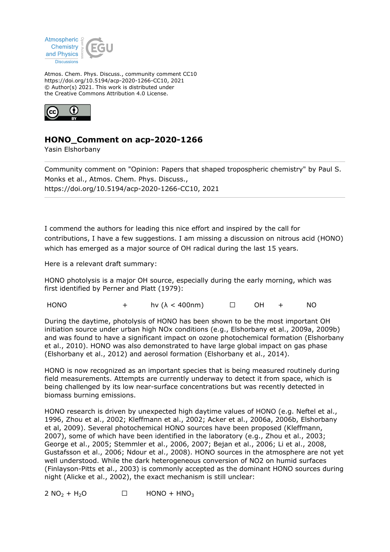

Atmos. Chem. Phys. Discuss., community comment CC10 https://doi.org/10.5194/acp-2020-1266-CC10, 2021 © Author(s) 2021. This work is distributed under the Creative Commons Attribution 4.0 License.



## **HONO\_Comment on acp-2020-1266**

Yasin Elshorbany

Community comment on "Opinion: Papers that shaped tropospheric chemistry" by Paul S. Monks et al., Atmos. Chem. Phys. Discuss., https://doi.org/10.5194/acp-2020-1266-CC10, 2021

I commend the authors for leading this nice effort and inspired by the call for contributions, I have a few suggestions. I am missing a discussion on nitrous acid (HONO) which has emerged as a major source of OH radical during the last 15 years.

Here is a relevant draft summary:

HONO photolysis is a major OH source, especially during the early morning, which was first identified by Perner and Platt (1979):

HONO + hv ( $\lambda$  < 400nm)  $\Box$  OH + NO

During the daytime, photolysis of HONO has been shown to be the most important OH initiation source under urban high NOx conditions (e.g., Elshorbany et al., 2009a, 2009b) and was found to have a significant impact on ozone photochemical formation (Elshorbany et al., 2010). HONO was also demonstrated to have large global impact on gas phase (Elshorbany et al., 2012) and aerosol formation (Elshorbany et al., 2014).

HONO is now recognized as an important species that is being measured routinely during field measurements. Attempts are currently underway to detect it from space, which is being challenged by its low near-surface concentrations but was recently detected in biomass burning emissions.

HONO research is driven by unexpected high daytime values of HONO (e.g. Neftel et al., 1996, Zhou et al., 2002; Kleffmann et al., 2002; Acker et al., 2006a, 2006b, Elshorbany et al, 2009). Several photochemical HONO sources have been proposed (Kleffmann, 2007), some of which have been identified in the laboratory (e.g., Zhou et al., 2003; George et al., 2005; Stemmler et al., 2006, 2007; Bejan et al., 2006; Li et al., 2008, Gustafsson et al., 2006; Ndour et al., 2008). HONO sources in the atmosphere are not yet well understood. While the dark heterogeneous conversion of NO2 on humid surfaces (Finlayson-Pitts et al., 2003) is commonly accepted as the dominant HONO sources during night (Alicke et al., 2002), the exact mechanism is still unclear:

 $2 \text{ NO}_2 + \text{ H}_2\text{O}$   $\Box$  HONO + HNO<sub>3</sub>